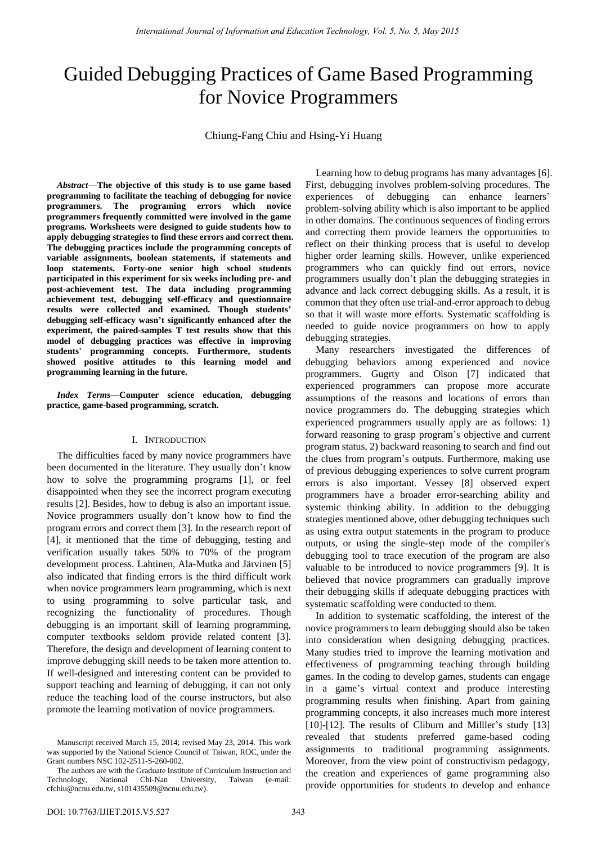# Guided Debugging Practices of Game Based Programming for Novice Programmers

Chiung-Fang Chiu and Hsing-Yi Huang

*Abstract—***The objective of this study is to use game based programming to facilitate the teaching of debugging for novice programmers. The programing errors which novice programmers frequently committed were involved in the game programs. Worksheets were designed to guide students how to apply debugging strategies to find these errors and correct them. The debugging practices include the programming concepts of variable assignments, boolean statements, if statements and loop statements. Forty-one senior high school students participated in this experiment for six weeks including pre- and post-achievement test. The data including programming achievement test, debugging self-efficacy and questionnaire results were collected and examined. Though students' debugging self-efficacy wasn't significantly enhanced after the experiment, the paired-samples T test results show that this model of debugging practices was effective in improving students' programming concepts. Furthermore, students showed positive attitudes to this learning model and programming learning in the future.**

*Index Terms***—Computer science education, debugging practice, game-based programming, scratch.**

## I. INTRODUCTION

The difficulties faced by many novice programmers have been documented in the literature. They usually don't know how to solve the programming programs [1], or feel disappointed when they see the incorrect program executing results [2]. Besides, how to debug is also an important issue. Novice programmers usually don"t know how to find the program errors and correct them [3]. In the research report of [4], it mentioned that the time of debugging, testing and verification usually takes 50% to 70% of the program development process. Lahtinen, Ala-Mutka and Järvinen [5] also indicated that finding errors is the third difficult work when novice programmers learn programming, which is next to using programming to solve particular task, and recognizing the functionality of procedures. Though debugging is an important skill of learning programming, computer textbooks seldom provide related content [3]. Therefore, the design and development of learning content to improve debugging skill needs to be taken more attention to. If well-designed and interesting content can be provided to support teaching and learning of debugging, it can not only reduce the teaching load of the course instructors, but also promote the learning motivation of novice programmers.

Manuscript received March 15, 2014; revised May 23, 2014. This work was supported by the National Science Council of Taiwan, ROC, under the Grant numbers NSC 102-2511-S-260-002.

Learning how to debug programs has many advantages [6]. First, debugging involves problem-solving procedures. The experiences of debugging can enhance learners' problem-solving ability which is also important to be applied in other domains. The continuous sequences of finding errors and correcting them provide learners the opportunities to reflect on their thinking process that is useful to develop higher order learning skills. However, unlike experienced programmers who can quickly find out errors, novice programmers usually don"t plan the debugging strategies in advance and lack correct debugging skills. As a result, it is common that they often use trial-and-error approach to debug so that it will waste more efforts. Systematic scaffolding is needed to guide novice programmers on how to apply debugging strategies.

Many researchers investigated the differences of debugging behaviors among experienced and novice programmers. Gugrty and Olson [7] indicated that experienced programmers can propose more accurate assumptions of the reasons and locations of errors than novice programmers do. The debugging strategies which experienced programmers usually apply are as follows: 1) forward reasoning to grasp program"s objective and current program status, 2) backward reasoning to search and find out the clues from program"s outputs. Furthermore, making use of previous debugging experiences to solve current program errors is also important. Vessey [8] observed expert programmers have a broader error-searching ability and systemic thinking ability. In addition to the debugging strategies mentioned above, other debugging techniques such as using extra output statements in the program to produce outputs, or using the single-step mode of the compiler's debugging tool to trace execution of the program are also valuable to be introduced to novice programmers [9]. It is believed that novice programmers can gradually improve their debugging skills if adequate debugging practices with systematic scaffolding were conducted to them.

In addition to systematic scaffolding, the interest of the novice programmers to learn debugging should also be taken into consideration when designing debugging practices. Many studies tried to improve the learning motivation and effectiveness of programming teaching through building games. In the coding to develop games, students can engage in a game"s virtual context and produce interesting programming results when finishing. Apart from gaining programming concepts, it also increases much more interest [10]-[12]. The results of Cliburn and Miller's study [13] revealed that students preferred game-based coding assignments to traditional programming assignments. Moreover, from the view point of constructivism pedagogy, the creation and experiences of game programming also provide opportunities for students to develop and enhance

The authors are with the Graduate Institute of Curriculum Instruction and Technology, National Chi-Nan University, Taiwan (e-mail: cfchiu@ncnu.edu.tw, s101435509@ncnu.edu.tw).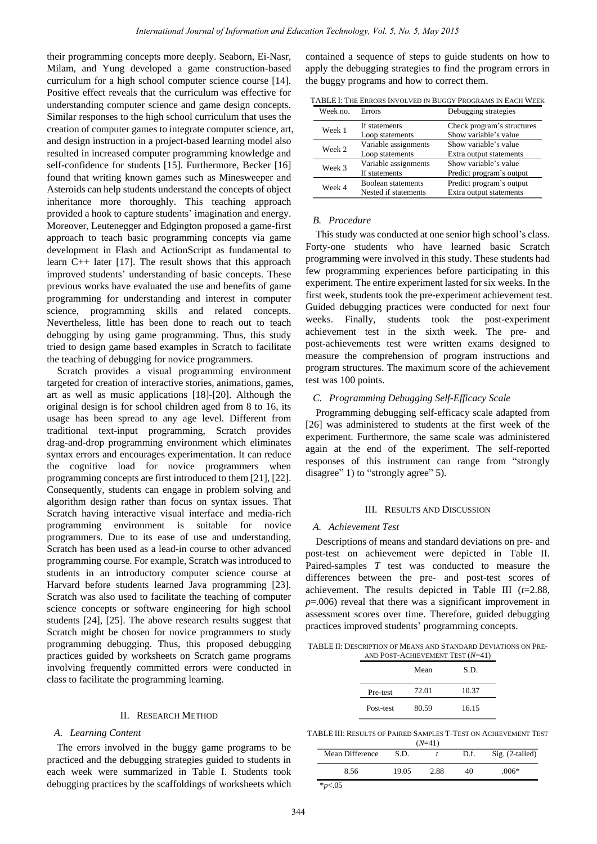their programming concepts more deeply. Seaborn, Ei-Nasr, Milam, and Yung developed a game construction-based curriculum for a high school computer science course [14]. Positive effect reveals that the curriculum was effective for understanding computer science and game design concepts. Similar responses to the high school curriculum that uses the creation of computer games to integrate computer science, art, and design instruction in a project-based learning model also resulted in increased computer programming knowledge and self-confidence for students [15]. Furthermore, Becker [16] found that writing known games such as Minesweeper and Asteroids can help students understand the concepts of object inheritance more thoroughly. This teaching approach provided a hook to capture students' imagination and energy. Moreover, Leutenegger and Edgington proposed a game-first approach to teach basic programming concepts via game development in Flash and ActionScript as fundamental to learn C++ later [17]. The result shows that this approach improved students" understanding of basic concepts. These previous works have evaluated the use and benefits of game programming for understanding and interest in computer science, programming skills and related concepts. Nevertheless, little has been done to reach out to teach debugging by using game programming. Thus, this study tried to design game based examples in Scratch to facilitate the teaching of debugging for novice programmers.

Scratch provides a visual programming environment targeted for creation of interactive stories, animations, games, art as well as music applications [18]-[20]. Although the original design is for school children aged from 8 to 16, its usage has been spread to any age level. Different from traditional text-input programming, Scratch provides drag-and-drop programming environment which eliminates syntax errors and encourages experimentation. It can reduce the cognitive load for novice programmers when programming concepts are first introduced to them [21], [22]. Consequently, students can engage in problem solving and algorithm design rather than focus on syntax issues. That Scratch having interactive visual interface and media-rich programming environment is suitable for novice programmers. Due to its ease of use and understanding, Scratch has been used as a lead-in course to other advanced programming course. For example, Scratch was introduced to students in an introductory computer science course at Harvard before students learned Java programming [23]. Scratch was also used to facilitate the teaching of computer science concepts or software engineering for high school students [24], [25]. The above research results suggest that Scratch might be chosen for novice programmers to study programming debugging. Thus, this proposed debugging practices guided by worksheets on Scratch game programs involving frequently committed errors were conducted in class to facilitate the programming learning.

## II. RESEARCH METHOD

#### *A. Learning Content*

The errors involved in the buggy game programs to be practiced and the debugging strategies guided to students in each week were summarized in Table I. Students took debugging practices by the scaffoldings of worksheets which

contained a sequence of steps to guide students on how to apply the debugging strategies to find the program errors in the buggy programs and how to correct them.

| Week no. | <b>Errors</b>                              | Debugging strategies                                |
|----------|--------------------------------------------|-----------------------------------------------------|
| Week 1   | If statements<br>Loop statements           | Check program's structures<br>Show variable's value |
| Week 2   | Variable assignments<br>Loop statements    | Show variable's value<br>Extra output statements    |
| Week 3   | Variable assignments<br>If statements      | Show variable's value<br>Predict program's output   |
| Week 4   | Boolean statements<br>Nested if statements | Predict program's output<br>Extra output statements |

TABLE I: THE ERRORS INVOLVED IN BUGGY PROGRAMS IN EACH WEEK

#### *B. Procedure*

This study was conducted at one senior high school"s class. Forty-one students who have learned basic Scratch programming were involved in this study. These students had few programming experiences before participating in this experiment. The entire experiment lasted for six weeks. In the first week, students took the pre-experiment achievement test. Guided debugging practices were conducted for next four weeks. Finally, students took the post-experiment achievement test in the sixth week. The pre- and post-achievements test were written exams designed to measure the comprehension of program instructions and program structures. The maximum score of the achievement test was 100 points.

## *C. Programming Debugging Self-Efficacy Scale*

Programming debugging self-efficacy scale adapted from [26] was administered to students at the first week of the experiment. Furthermore, the same scale was administered again at the end of the experiment. The self-reported responses of this instrument can range from "strongly disagree" 1) to "strongly agree" 5).

## III. RESULTS AND DISCUSSION

#### *A. Achievement Test*

Descriptions of means and standard deviations on pre- and post-test on achievement were depicted in Table II. Paired-samples *T* test was conducted to measure the differences between the pre- and post-test scores of achievement. The results depicted in Table III (*t*=2.88, *p*=.006) reveal that there was a significant improvement in assessment scores over time. Therefore, guided debugging practices improved students" programming concepts.

TABLE II: DESCRIPTION OF MEANS AND STANDARD DEVIATIONS ON PRE-AND POST-ACHIEVEMENT TEST (*N*=41)

|           | Mean  | S.D.  |
|-----------|-------|-------|
| Pre-test  | 72.01 | 10.37 |
| Post-test | 80.59 | 16.15 |

TABLE III: RESULTS OF PAIRED SAMPLES T-TEST ON ACHIEVEMENT TEST

| $(N=41)$        |       |      |      |                 |  |
|-----------------|-------|------|------|-----------------|--|
| Mean Difference | S.D.  |      | D.f. | Sig. (2-tailed) |  |
| 8.56            | 19.05 | 2.88 | 40   | $.006*$         |  |
| $*_{p<.05}$     |       |      |      |                 |  |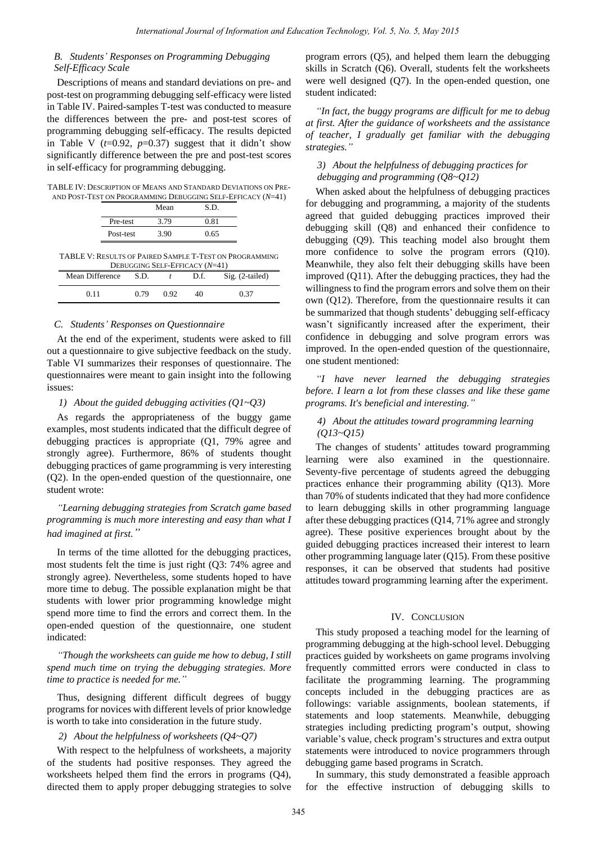## *B. Students' Responses on Programming Debugging Self-Efficacy Scale*

Descriptions of means and standard deviations on pre- and post-test on programming debugging self-efficacy were listed in Table IV. Paired-samples T-test was conducted to measure the differences between the pre- and post-test scores of programming debugging self-efficacy. The results depicted in Table V  $(t=0.92, p=0.37)$  suggest that it didn't show significantly difference between the pre and post-test scores in self-efficacy for programming debugging.

TABLE IV: DESCRIPTION OF MEANS AND STANDARD DEVIATIONS ON PRE-AND POST-TEST ON PROGRAMMING DEBUGGING SELF-EFFICACY (*N*=41)

| 0.81<br>3.79<br>Pre-test<br>3.90<br>0.65<br>Post-test | Mean | S.D. |
|-------------------------------------------------------|------|------|
|                                                       |      |      |
|                                                       |      |      |

TABLE V: RESULTS OF PAIRED SAMPLE T-TEST ON PROGRAMMING DEBUGGING SELF-EFFICACY (*N*=41)

| Mean Difference | S.D. |      | D.f. | Sig. (2-tailed) |
|-----------------|------|------|------|-----------------|
| 0.11            | 0.79 | 0.92 | 40   | 0.37            |

## *C. Students' Responses on Questionnaire*

At the end of the experiment, students were asked to fill out a questionnaire to give subjective feedback on the study. Table VI summarizes their responses of questionnaire. The questionnaires were meant to gain insight into the following issues:

*1) About the guided debugging activities (Q1~Q3)* 

As regards the appropriateness of the buggy game examples, most students indicated that the difficult degree of debugging practices is appropriate (Q1, 79% agree and strongly agree). Furthermore, 86% of students thought debugging practices of game programming is very interesting (Q2). In the open-ended question of the questionnaire, one student wrote:

*"Learning debugging strategies from Scratch game based programming is much more interesting and easy than what I had imagined at first."*

In terms of the time allotted for the debugging practices, most students felt the time is just right (Q3: 74% agree and strongly agree). Nevertheless, some students hoped to have more time to debug. The possible explanation might be that students with lower prior programming knowledge might spend more time to find the errors and correct them. In the open-ended question of the questionnaire, one student indicated:

*"Though the worksheets can guide me how to debug, I still spend much time on trying the debugging strategies. More time to practice is needed for me."*

Thus, designing different difficult degrees of buggy programs for novices with different levels of prior knowledge is worth to take into consideration in the future study.

## *2) About the helpfulness of worksheets (Q4~Q7)*

With respect to the helpfulness of worksheets, a majority of the students had positive responses. They agreed the worksheets helped them find the errors in programs (Q4), directed them to apply proper debugging strategies to solve program errors (Q5), and helped them learn the debugging skills in Scratch (Q6). Overall, students felt the worksheets were well designed (Q7). In the open-ended question, one student indicated:

*"In fact, the buggy programs are difficult for me to debug at first. After the guidance of worksheets and the assistance of teacher, I gradually get familiar with the debugging strategies."*

## *3) About the helpfulness of debugging practices for debugging and programming (Q8~Q12)*

When asked about the helpfulness of debugging practices for debugging and programming, a majority of the students agreed that guided debugging practices improved their debugging skill (Q8) and enhanced their confidence to debugging (Q9). This teaching model also brought them more confidence to solve the program errors (Q10). Meanwhile, they also felt their debugging skills have been improved (Q11). After the debugging practices, they had the willingness to find the program errors and solve them on their own (Q12). Therefore, from the questionnaire results it can be summarized that though students' debugging self-efficacy wasn"t significantly increased after the experiment, their confidence in debugging and solve program errors was improved. In the open-ended question of the questionnaire, one student mentioned:

*"I have never learned the debugging strategies before. I learn a lot from these classes and like these game programs. It's beneficial and interesting."*

## *4) About the attitudes toward programming learning (Q13~Q15)*

The changes of students' attitudes toward programming learning were also examined in the questionnaire. Seventy-five percentage of students agreed the debugging practices enhance their programming ability (Q13). More than 70% of students indicated that they had more confidence to learn debugging skills in other programming language after these debugging practices (Q14, 71% agree and strongly agree). These positive experiences brought about by the guided debugging practices increased their interest to learn other programming language later (Q15). From these positive responses, it can be observed that students had positive attitudes toward programming learning after the experiment.

## IV. CONCLUSION

This study proposed a teaching model for the learning of programming debugging at the high-school level. Debugging practices guided by worksheets on game programs involving frequently committed errors were conducted in class to facilitate the programming learning. The programming concepts included in the debugging practices are as followings: variable assignments, boolean statements, if statements and loop statements. Meanwhile, debugging strategies including predicting program"s output, showing variable's value, check program's structures and extra output statements were introduced to novice programmers through debugging game based programs in Scratch.

In summary, this study demonstrated a feasible approach for the effective instruction of debugging skills to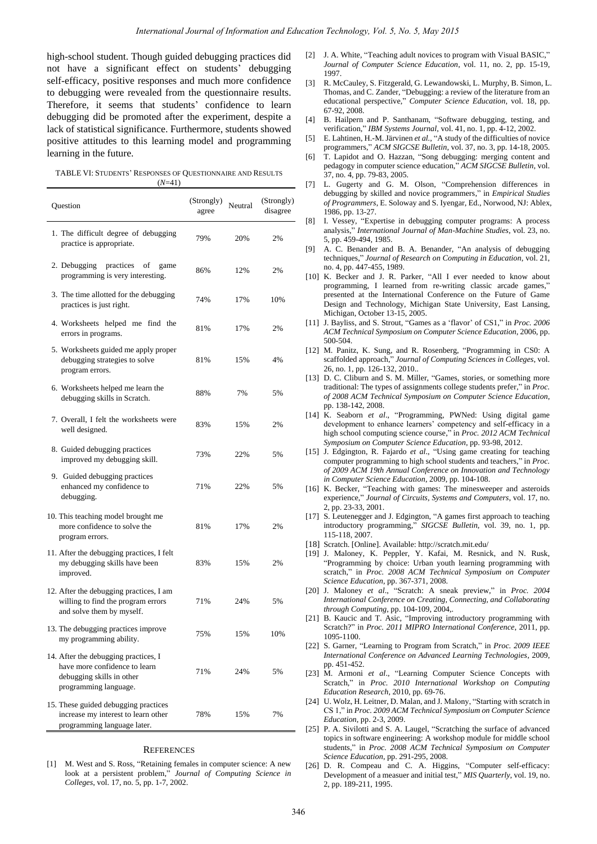high-school student. Though guided debugging practices did not have a significant effect on students' debugging self-efficacy, positive responses and much more confidence to debugging were revealed from the questionnaire results. Therefore, it seems that students' confidence to learn debugging did be promoted after the experiment, despite a lack of statistical significance. Furthermore, students showed positive attitudes to this learning model and programming learning in the future.

| TABLE VI: STUDENTS' RESPONSES OF QUESTIONNAIRE AND RESULTS |
|------------------------------------------------------------|
| $(N=41)$                                                   |

| Question                                                                                                                    | (Strongly)<br>agree | Neutral | (Strongly)<br>disagree |
|-----------------------------------------------------------------------------------------------------------------------------|---------------------|---------|------------------------|
| 1. The difficult degree of debugging<br>practice is appropriate.                                                            | 79%                 | 20%     | 2%                     |
| 2. Debugging<br>practices<br>of<br>game<br>programming is very interesting.                                                 | 86%                 | 12%     | 2%                     |
| 3. The time allotted for the debugging<br>practices is just right.                                                          | 74%                 | 17%     | 10%                    |
| 4. Worksheets helped me find the<br>errors in programs.                                                                     | 81%                 | 17%     | 2%                     |
| 5. Worksheets guided me apply proper<br>debugging strategies to solve<br>program errors.                                    | 81%                 | 15%     | 4%                     |
| 6. Worksheets helped me learn the<br>debugging skills in Scratch.                                                           | 88%                 | 7%      | 5%                     |
| 7. Overall, I felt the worksheets were<br>well designed.                                                                    | 83%                 | 15%     | 2%                     |
| 8. Guided debugging practices<br>improved my debugging skill.                                                               | 73%                 | 22%     | 5%                     |
| 9. Guided debugging practices<br>enhanced my confidence to<br>debugging.                                                    | 71%                 | 22%     | 5%                     |
| 10. This teaching model brought me<br>more confidence to solve the<br>program errors.                                       | 81%                 | 17%     | 2%                     |
| 11. After the debugging practices, I felt<br>my debugging skills have been<br>improved.                                     | 83%                 | 15%     | 2%                     |
| 12. After the debugging practices, I am<br>willing to find the program errors<br>and solve them by myself.                  | 71%                 | 24%     | 5%                     |
| 13. The debugging practices improve<br>my programming ability.                                                              | 75%                 | 15%     | 10%                    |
| 14. After the debugging practices, I<br>have more confidence to learn<br>debugging skills in other<br>programming language. | 71%                 | 24%     | 5%                     |
| 15. These guided debugging practices<br>increase my interest to learn other<br>programming language later.                  | 78%                 | 15%     | 7%                     |

#### **REFERENCES**

[1] M. West and S. Ross, "Retaining females in computer science: A new look at a persistent problem," *Journal of Computing Science in Colleges*, vol. 17, no. 5, pp. 1-7, 2002.

- [2] J. A. White, "Teaching adult novices to program with Visual BASIC," *Journal of Computer Science Education*, vol. 11*,* no. 2, pp. 15-19, 1997.
- [3] R. McCauley, S. Fitzgerald, G. Lewandowski, L. Murphy, B. Simon, L. Thomas, and C. Zander, "Debugging: a review of the literature from an educational perspective," *Computer Science Education,* vol. 18, pp. 67-92, 2008.
- [4] B. Hailpern and P. Santhanam, "Software debugging, testing, and verification," *IBM Systems Journal*, vol. 41, no. 1, pp. 4-12, 2002.
- [5] E. Lahtinen, H.-M. Järvinen *et al.*, "A study of the difficulties of novice programmers," *ACM SIGCSE Bulletin*, vol. 37, no. 3, pp. 14-18, 2005.
- [6] T. Lapidot and O. Hazzan, "Song debugging: merging content and pedagogy in computer science education," *ACM SIGCSE Bulletin*, vol. 37, no. 4, pp. 79-83, 2005.
- [7] L. Gugerty and G. M. Olson, "Comprehension differences in debugging by skilled and novice programmers," in *Empirical Studies of Programmers*, E. Soloway and S. Iyengar, Ed., Norwood, NJ: Ablex, 1986, pp. 13-27.
- [8] I. Vessey, "Expertise in debugging computer programs: A process analysis," *International Journal of Man-Machine Studies*, vol. 23, no. 5, pp. 459-494, 1985.
- [9] A. C. Benander and B. A. Benander, "An analysis of debugging techniques," *Journal of Research on Computing in Education*, vol. 21, no. 4, pp. 447-455, 1989.
- [10] K. Becker and J. R. Parker, "All I ever needed to know about programming, I learned from re-writing classic arcade games, presented at the International Conference on the Future of Game Design and Technology, Michigan State University, East Lansing, Michigan, October 13-15, 2005.
- [11] J. Bayliss, and S. Strout, "Games as a "flavor" of CS1," in *Proc. 2006 ACM Technical Symposium on Computer Science Education*, 2006, pp. 500-504.
- [12] M. Panitz, K. Sung, and R. Rosenberg, "Programming in CS0: A scaffolded approach," *Journal of Computing Sciences in Colleges*, vol. 26, no. 1, pp. 126-132, 2010..
- [13] D. C. Cliburn and S. M. Miller, "Games, stories, or something more traditional: The types of assignments college students prefer," in *Proc. of 2008 ACM Technical Symposium on Computer Science Education*, pp. 138-142, 2008.
- [14] K. Seaborn *et al*., "Programming, PWNed: Using digital game development to enhance learners' competency and self-efficacy in a high school computing science course," in *Proc. 2012 ACM Technical Symposium on Computer Science Education*, pp. 93-98, 2012.
- [15] J. Edgington, R. Fajardo *et al*., "Using game creating for teaching computer programming to high school students and teachers," in *Proc. of 2009 ACM 19th Annual Conference on Innovation and Technology in Computer Science Education*, 2009, pp. 104-108.
- [16] K. Becker, "Teaching with games: The minesweeper and asteroids experience," *Journal of Circuits, Systems and Computers*, vol. 17, no. 2, pp. 23-33, 2001.
- [17] S. Leutenegger and J. Edgington, "A games first approach to teaching introductory programming," *SIGCSE Bulletin*, vol. 39, no. 1, pp. 115-118, 2007.
- [18] Scratch. [Online]. Available: http://scratch.mit.edu/
- [19] J. Maloney, K. Peppler, Y. Kafai, M. Resnick, and N. Rusk, "Programming by choice: Urban youth learning programming with scratch," in *Proc. 2008 ACM Technical Symposium on Computer Science Education*, pp. 367-371, 2008.
- [20] J. Maloney *et al*., "Scratch: A sneak preview," in *Proc. 2004 International Conference on Creating, Connecting, and Collaborating through Computing*, pp. 104-109, 2004,.
- [21] B. Kaucic and T. Asic, "Improving introductory programming with Scratch?" in *Proc. 2011 MIPRO International Conference*, 2011, pp. 1095-1100.
- [22] S. Garner, "Learning to Program from Scratch," in *Proc. 2009 IEEE International Conference on Advanced Learning Technologies*, 2009, pp. 451-452.
- [23] M. Armoni *et al*., "Learning Computer Science Concepts with Scratch," in *Proc. 2010 International Workshop on Computing Education Research*, 2010, pp. 69-76.
- [24] U. Wolz, H. Leitner, D. Malan, and J. Malony, "Starting with scratch in CS 1," in *Proc. 2009 ACM Technical Symposium on Computer Science Education*, pp. 2-3, 2009.
- [25] P. A. Sivilotti and S. A. Laugel, "Scratching the surface of advanced topics in software engineering: A workshop module for middle school students," in *Proc. 2008 ACM Technical Symposium on Computer Science Education*, pp. 291-295, 2008.
- [26] D. R. Compeau and C. A. Higgins, "Computer self-efficacy: Development of a measuer and initial test," *MIS Quarterly*, vol. 19, no. 2, pp. 189-211, 1995.